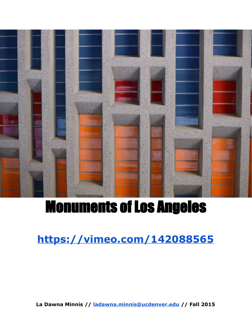

# Monuments of Los Angeles

**<https://vimeo.com/142088565>**

**La Dawna Minnis // [ladawna.minnis@ucdenver.edu](mailto:ladawna.minnis@ucdenver.edu)// Fall 2015**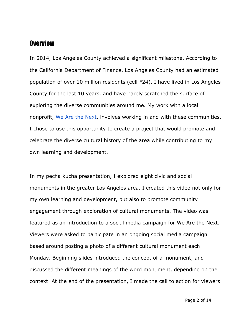#### **Overview**

In 2014, Los Angeles County achieved a significant milestone. According to the California Department of Finance, Los Angeles County had an estimated population of over 10 million residents (cell F24). I have lived in Los Angeles County for the last 10 years, and have barely scratched the surface of exploring the diverse communities around me. My work with a local nonprofit, We Are the [Next,](http://www.wearethenext.org/) involves working in and with these communities. I chose to use this opportunity to create a project that would promote and celebrate the diverse cultural history of the area while contributing to my own learning and development.

In my pecha kucha presentation, I explored eight civic and social monuments in the greater Los Angeles area. I created this video not only for my own learning and development, but also to promote community engagement through exploration of cultural monuments. The video was featured as an introduction to a social media campaign for We Are the Next. Viewers were asked to participate in an ongoing social media campaign based around posting a photo of a different cultural monument each Monday. Beginning slides introduced the concept of a monument, and discussed the different meanings of the word monument, depending on the context. At the end of the presentation, I made the call to action for viewers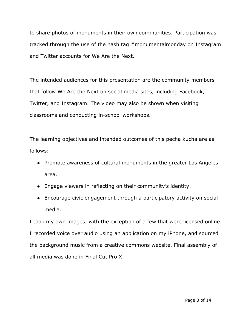to share photos of monuments in their own communities. Participation was tracked through the use of the hash tag #monumentalmonday on Instagram and Twitter accounts for We Are the Next.

The intended audiences for this presentation are the community members that follow We Are the Next on social media sites, including Facebook, Twitter, and Instagram. The video may also be shown when visiting classrooms and conducting in-school workshops.

The learning objectives and intended outcomes of this pecha kucha are as follows:

- Promote awareness of cultural monuments in the greater Los Angeles area.
- Engage viewers in reflecting on their community's identity.
- Encourage civic engagement through a participatory activity on social media.

I took my own images, with the exception of a few that were licensed online. I recorded voice over audio using an application on my iPhone, and sourced the background music from a creative commons website. Final assembly of all media was done in Final Cut Pro X.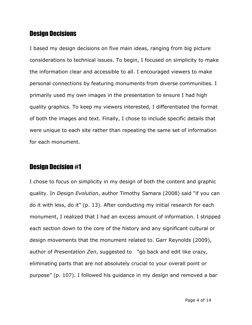# Design Decisions

I based my design decisions on five main ideas, ranging from big picture considerations to technical issues. To begin, I focused on simplicity to make the information clear and accessible to all. I encouraged viewers to make personal connections by featuring monuments from diverse communities. I primarily used my own images in the presentation to ensure I had high quality graphics. To keep my viewers interested, I differentiated the format of both the images and text. Finally, I chose to include specific details that were unique to each site rather than repeating the same set of information for each monument.

# Design Decision #1

I chose to focus on simplicity in my design of both the content and graphic quality. In *Design Evolution*, author Timothy Samara (2008) said "if you can do it with less, do it" (p. 13). After conducting my initial research for each monument, I realized that I had an excess amount of information. I stripped each section down to the core of the history and any significant cultural or design movements that the monument related to. Garr Reynolds (2009), author of *Presentation Zen*, suggested to "go back and edit like crazy, eliminating parts that are not absolutely crucial to your overall point or purpose" (p. 107). I followed his guidance in my design and removed a bar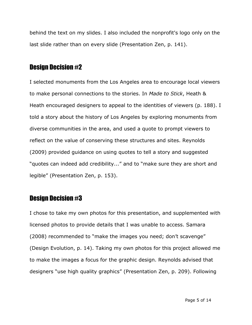behind the text on my slides. I also included the nonprofit's logo only on the last slide rather than on every slide (Presentation Zen, p. 141).

## Design Decision #2

I selected monuments from the Los Angeles area to encourage local viewers to make personal connections to the stories. In *Made to Stick*, Heath & Heath encouraged designers to appeal to the identities of viewers (p. 188). I told a story about the history of Los Angeles by exploring monuments from diverse communities in the area, and used a quote to prompt viewers to reflect on the value of conserving these structures and sites. Reynolds (2009) provided guidance on using quotes to tell a story and suggested "quotes can indeed add credibility..." and to "make sure they are short and legible" (Presentation Zen, p. 153).

## Design Decision #3

I chose to take my own photos for this presentation, and supplemented with licensed photos to provide details that I was unable to access. Samara (2008) recommended to "make the images you need; don't scavenge" (Design Evolution, p. 14). Taking my own photos for this project allowed me to make the images a focus for the graphic design. Reynolds advised that designers "use high quality graphics" (Presentation Zen, p. 209). Following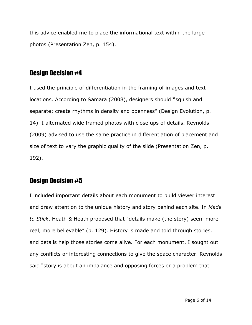this advice enabled me to place the informational text within the large photos (Presentation Zen, p. 154).

# Design Decision #4

I used the principle of differentiation in the framing of images and text locations. According to Samara (2008), designers should **"**squish and separate; create rhythms in density and openness" (Design Evolution, p. 14). I alternated wide framed photos with close ups of details. Reynolds (2009) advised to use the same practice in differentiation of placement and size of text to vary the graphic quality of the slide (Presentation Zen, p. 192).

# Design Decision #5

I included important details about each monument to build viewer interest and draw attention to the unique history and story behind each site. In *Made to Stick*, Heath & Heath proposed that "details make (the story) seem more real, more believable" (p. 129). History is made and told through stories, and details help those stories come alive. For each monument, I sought out any conflicts or interesting connections to give the space character. Reynolds said "story is about an imbalance and opposing forces or a problem that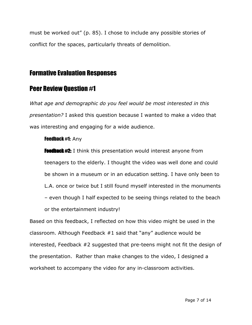must be worked out" (p. 85). I chose to include any possible stories of conflict for the spaces, particularly threats of demolition.

# Formative Evaluation Responses

# Peer Review Question #1

*What age and demographic do you feel would be most interested in this presentation?* I asked this question because I wanted to make a video that was interesting and engaging for a wide audience.

#### Feedback #1: Any

**Feedback #2:** I think this presentation would interest anyone from teenagers to the elderly. I thought the video was well done and could be shown in a museum or in an education setting. I have only been to L.A. once or twice but I still found myself interested in the monuments – even though I half expected to be seeing things related to the beach or the entertainment industry!

Based on this feedback, I reflected on how this video might be used in the classroom. Although Feedback #1 said that "any" audience would be interested, Feedback #2 suggested that pre-teens might not fit the design of the presentation. Rather than make changes to the video, I designed a worksheet to accompany the video for any in-classroom activities.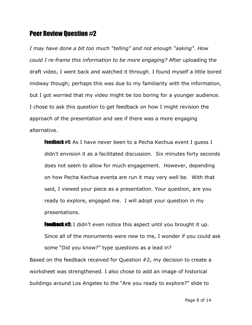## Peer Review Question #2

*I may have done a bit too much "telling" and not enough "asking". How could I re-frame this information to be more engaging?* After uploading the draft video, I went back and watched it through. I found myself a little bored midway though; perhaps this was due to my familiarity with the information, but I got worried that my video might be too boring for a younger audience. I chose to ask this question to get feedback on how I might revision the approach of the presentation and see if there was a more engaging alternative.

**Feedback #1:** As I have never been to a Pecha Kechua event I quess I didn't envision it as a facilitated discussion. Six minutes forty seconds does not seem to allow for much engagement. However, depending on how Pecha Kechua eventa are run it may very well be. With that said, I viewed your piece as a presentation. Your question, are you ready to explore, engaged me. I will adopt your question in my presentations.

**Feedback #2:** I didn't even notice this aspect until you brought it up. Since all of the monuments were new to me, I wonder if you could ask some "Did you know?" type questions as a lead in? Based on the feedback received for Question #2, my decision to create a worksheet was strengthened. I also chose to add an image of historical buildings around Los Angeles to the "Are you ready to explore?" slide to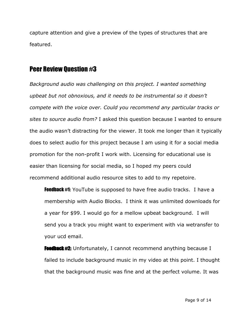capture attention and give a preview of the types of structures that are featured.

## Peer Review Question #3

*Background audio was challenging on this project. I wanted something upbeat but not obnoxious, and it needs to be instrumental so it doesn't compete with the voice over. Could you recommend any particular tracks or sites to source audio from?* I asked this question because I wanted to ensure the audio wasn't distracting for the viewer. It took me longer than it typically does to select audio for this project because I am using it for a social media promotion for the non-profit I work with. Licensing for educational use is easier than licensing for social media, so I hoped my peers could recommend additional audio resource sites to add to my repetoire.

**Feedback #1:** YouTube is supposed to have free audio tracks. I have a membership with Audio Blocks. I think it was unlimited downloads for a year for \$99. I would go for a mellow upbeat background. I will send you a track you might want to experiment with via wetransfer to your ucd email.

**Feedback #2:** Unfortunately, I cannot recommend anything because I failed to include background music in my video at this point. I thought that the background music was fine and at the perfect volume. It was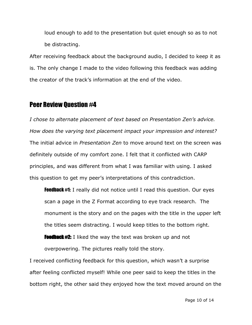loud enough to add to the presentation but quiet enough so as to not be distracting.

After receiving feedback about the background audio, I decided to keep it as is. The only change I made to the video following this feedback was adding the creator of the track's information at the end of the video.

### Peer Review Question #4

*I chose to alternate placement of text based on Presentation Zen's advice. How does the varying text placement impact your impression and interest?* The initial advice in *Presentation Zen* to move around text on the screen was definitely outside of my comfort zone. I felt that it conflicted with CARP principles, and was different from what I was familiar with using. I asked this question to get my peer's interpretations of this contradiction.

**Feedback #1:** I really did not notice until I read this question. Our eyes scan a page in the Z Format according to eye track research. The monument is the story and on the pages with the title in the upper left the titles seem distracting. I would keep titles to the bottom right. Feedback #2: I liked the way the text was broken up and not

overpowering. The pictures really told the story.

I received conflicting feedback for this question, which wasn't a surprise after feeling conflicted myself! While one peer said to keep the titles in the bottom right, the other said they enjoyed how the text moved around on the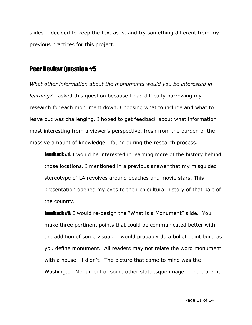slides. I decided to keep the text as is, and try something different from my previous practices for this project.

## Peer Review Question #5

*What other information about the monuments would you be interested in learning?* I asked this question because I had difficulty narrowing my research for each monument down. Choosing what to include and what to leave out was challenging. I hoped to get feedback about what information most interesting from a viewer's perspective, fresh from the burden of the massive amount of knowledge I found during the research process.

**Feedback #1:** I would be interested in learning more of the history behind those locations. I mentioned in a previous answer that my misguided stereotype of LA revolves around beaches and movie stars. This presentation opened my eyes to the rich cultural history of that part of the country.

**Feedback #2:** I would re-design the "What is a Monument" slide. You make three pertinent points that could be communicated better with the addition of some visual. I would probably do a bullet point build as you define monument. All readers may not relate the word monument with a house. I didn't. The picture that came to mind was the Washington Monument or some other statuesque image. Therefore, it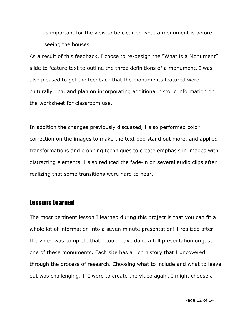is important for the view to be clear on what a monument is before seeing the houses.

As a result of this feedback, I chose to re-design the "What is a Monument" slide to feature text to outline the three definitions of a monument. I was also pleased to get the feedback that the monuments featured were culturally rich, and plan on incorporating additional historic information on the worksheet for classroom use.

In addition the changes previously discussed, I also performed color correction on the images to make the text pop stand out more, and applied transformations and cropping techniques to create emphasis in images with distracting elements. I also reduced the fade-in on several audio clips after realizing that some transitions were hard to hear.

# Lessons Learned

The most pertinent lesson I learned during this project is that you can fit a whole lot of information into a seven minute presentation! I realized after the video was complete that I could have done a full presentation on just one of these monuments. Each site has a rich history that I uncovered through the process of research. Choosing what to include and what to leave out was challenging. If I were to create the video again, I might choose a

Page 12 of 14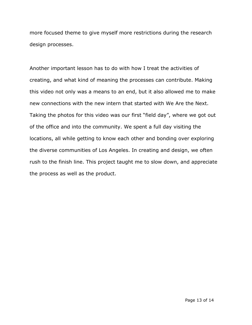more focused theme to give myself more restrictions during the research design processes.

Another important lesson has to do with how I treat the activities of creating, and what kind of meaning the processes can contribute. Making this video not only was a means to an end, but it also allowed me to make new connections with the new intern that started with We Are the Next. Taking the photos for this video was our first "field day", where we got out of the office and into the community. We spent a full day visiting the locations, all while getting to know each other and bonding over exploring the diverse communities of Los Angeles. In creating and design, we often rush to the finish line. This project taught me to slow down, and appreciate the process as well as the product.